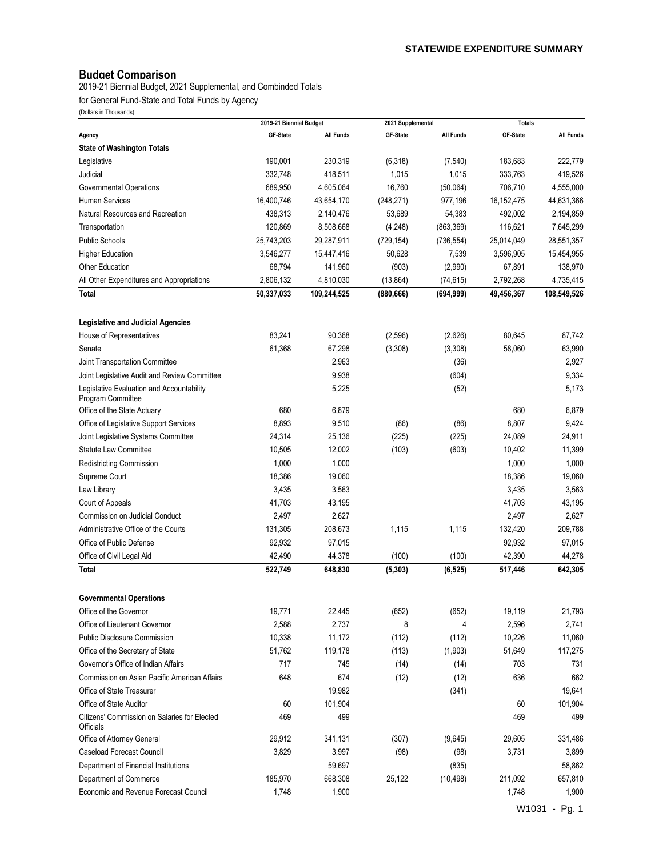# **Budget Comparison**

2019-21 Biennial Budget, 2021 Supplemental, and Combinded Totals

for General Fund-State and Total Funds by Agency

|                                                                | 2019-21 Biennial Budget |                  | 2021 Supplemental |                  | <b>Totals</b> |                  |
|----------------------------------------------------------------|-------------------------|------------------|-------------------|------------------|---------------|------------------|
| Agency                                                         | GF-State                | <b>All Funds</b> | GF-State          | <b>All Funds</b> | GF-State      | <b>All Funds</b> |
| <b>State of Washington Totals</b>                              |                         |                  |                   |                  |               |                  |
| Legislative                                                    | 190,001                 | 230,319          | (6, 318)          | (7, 540)         | 183,683       | 222,779          |
| Judicial                                                       | 332,748                 | 418,511          | 1,015             | 1,015            | 333,763       | 419,526          |
| Governmental Operations                                        | 689,950                 | 4,605,064        | 16,760            | (50,064)         | 706,710       | 4,555,000        |
| <b>Human Services</b>                                          | 16,400,746              | 43,654,170       | (248, 271)        | 977,196          | 16, 152, 475  | 44,631,366       |
| Natural Resources and Recreation                               | 438,313                 | 2,140,476        | 53,689            | 54,383           | 492,002       | 2,194,859        |
| Transportation                                                 | 120,869                 | 8,508,668        | (4, 248)          | (863, 369)       | 116,621       | 7,645,299        |
| <b>Public Schools</b>                                          | 25,743,203              | 29,287,911       | (729, 154)        | (736, 554)       | 25,014,049    | 28,551,357       |
| <b>Higher Education</b>                                        | 3,546,277               | 15,447,416       | 50,628            | 7,539            | 3,596,905     | 15,454,955       |
| <b>Other Education</b>                                         | 68,794                  | 141,960          | (903)             | (2,990)          | 67,891        | 138,970          |
| All Other Expenditures and Appropriations                      | 2,806,132               | 4,810,030        | (13, 864)         | (74, 615)        | 2,792,268     | 4,735,415        |
| <b>Total</b>                                                   | 50,337,033              | 109,244,525      | (880, 666)        | (694, 999)       | 49,456,367    | 108,549,526      |
| <b>Legislative and Judicial Agencies</b>                       |                         |                  |                   |                  |               |                  |
| House of Representatives                                       | 83,241                  | 90,368           | (2,596)           | (2,626)          | 80,645        | 87,742           |
| Senate                                                         | 61,368                  | 67,298           | (3,308)           | (3,308)          | 58,060        | 63,990           |
| Joint Transportation Committee                                 |                         | 2,963            |                   | (36)             |               | 2,927            |
| Joint Legislative Audit and Review Committee                   |                         | 9,938            |                   | (604)            |               | 9,334            |
| Legislative Evaluation and Accountability<br>Program Committee |                         | 5,225            |                   | (52)             |               | 5,173            |
| Office of the State Actuary                                    | 680                     | 6,879            |                   |                  | 680           | 6,879            |
| Office of Legislative Support Services                         | 8,893                   | 9,510            | (86)              | (86)             | 8,807         | 9,424            |
| Joint Legislative Systems Committee                            | 24,314                  | 25,136           | (225)             | (225)            | 24,089        | 24,911           |
| <b>Statute Law Committee</b>                                   | 10,505                  | 12,002           | (103)             | (603)            | 10,402        | 11,399           |
| Redistricting Commission                                       | 1,000                   | 1,000            |                   |                  | 1,000         | 1,000            |
| Supreme Court                                                  | 18,386                  | 19,060           |                   |                  | 18,386        | 19,060           |
| Law Library                                                    | 3,435                   | 3,563            |                   |                  | 3,435         | 3,563            |
| Court of Appeals                                               | 41,703                  | 43,195           |                   |                  | 41,703        | 43,195           |
| Commission on Judicial Conduct                                 | 2,497                   | 2,627            |                   |                  | 2,497         | 2,627            |
| Administrative Office of the Courts                            | 131,305                 | 208,673          | 1,115             | 1,115            | 132,420       | 209,788          |
| Office of Public Defense                                       | 92,932                  | 97.015           |                   |                  | 92,932        | 97,015           |
| Office of Civil Legal Aid                                      | 42,490                  | 44,378           | (100)             | (100)            | 42,390        | 44,278           |
| Total                                                          | 522,749                 | 648,830          | (5, 303)          | (6, 525)         | 517,446       | 642,305          |
|                                                                |                         |                  |                   |                  |               |                  |
| <b>Governmental Operations</b>                                 |                         |                  |                   |                  |               |                  |
| Office of the Governor                                         | 19,771                  | 22,445           | (652)             | (652)            | 19,119        | 21,793           |
| Office of Lieutenant Governor                                  | 2,588                   | 2,737            | 8                 | 4                | 2,596         | 2,741            |
| <b>Public Disclosure Commission</b>                            | 10,338                  | 11,172           | (112)             | (112)            | 10,226        | 11,060           |
| Office of the Secretary of State                               | 51,762                  | 119,178          | (113)             | (1,903)          | 51,649        | 117,275          |
| Governor's Office of Indian Affairs                            | 717                     | 745              | (14)              | (14)             | 703           | 731              |
| Commission on Asian Pacific American Affairs                   | 648                     | 674              | (12)              | (12)             | 636           | 662              |
| Office of State Treasurer                                      |                         | 19,982           |                   | (341)            |               | 19,641           |
| Office of State Auditor                                        | 60                      | 101,904          |                   |                  | 60            | 101,904          |
| Citizens' Commission on Salaries for Elected<br>Officials      | 469                     | 499              |                   |                  | 469           | 499              |
| Office of Attorney General                                     | 29,912                  | 341,131          | (307)             | (9,645)          | 29,605        | 331,486          |
| <b>Caseload Forecast Council</b>                               | 3,829                   | 3,997            | (98)              | (98)             | 3,731         | 3,899            |
| Department of Financial Institutions                           |                         | 59,697           |                   | (835)            |               | 58,862           |
| Department of Commerce                                         | 185,970                 | 668,308          | 25,122            | (10, 498)        | 211,092       | 657,810          |
| Economic and Revenue Forecast Council                          | 1,748                   | 1,900            |                   |                  | 1,748         | 1,900            |
|                                                                |                         |                  |                   |                  |               | W1031 - Pg. 1    |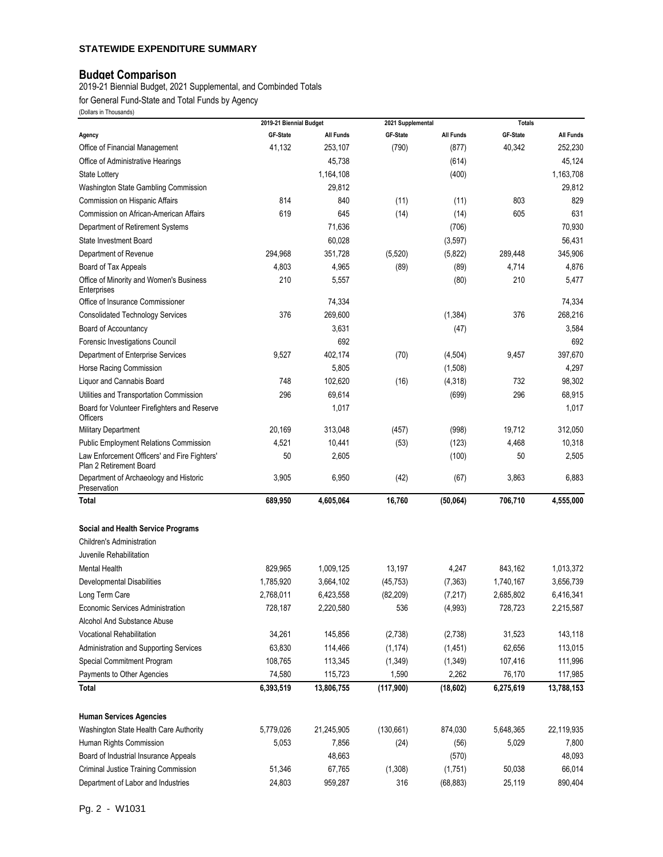#### **STATEWIDE EXPENDITURE SUMMARY**

### **Budget Comparison**

2019-21 Biennial Budget, 2021 Supplemental, and Combinded Totals

for General Fund-State and Total Funds by Agency

|                                                                         | 2019-21 Biennial Budget |                  | 2021 Supplemental |                  | <b>Totals</b> |                  |
|-------------------------------------------------------------------------|-------------------------|------------------|-------------------|------------------|---------------|------------------|
| Agency                                                                  | GF-State                | <b>All Funds</b> | GF-State          | <b>All Funds</b> | GF-State      | <b>All Funds</b> |
| Office of Financial Management                                          | 41,132                  | 253,107          | (790)             | (877)            | 40,342        | 252,230          |
| Office of Administrative Hearings                                       |                         | 45,738           |                   | (614)            |               | 45,124           |
| <b>State Lottery</b>                                                    |                         | 1,164,108        |                   | (400)            |               | 1,163,708        |
| Washington State Gambling Commission                                    |                         | 29,812           |                   |                  |               | 29,812           |
| Commission on Hispanic Affairs                                          | 814                     | 840              | (11)              | (11)             | 803           | 829              |
| Commission on African-American Affairs                                  | 619                     | 645              | (14)              | (14)             | 605           | 631              |
| Department of Retirement Systems                                        |                         | 71,636           |                   | (706)            |               | 70,930           |
| <b>State Investment Board</b>                                           |                         | 60,028           |                   | (3, 597)         |               | 56,431           |
| Department of Revenue                                                   | 294,968                 | 351,728          | (5, 520)          | (5,822)          | 289,448       | 345,906          |
| Board of Tax Appeals                                                    | 4,803                   | 4,965            | (89)              | (89)             | 4,714         | 4,876            |
| Office of Minority and Women's Business                                 | 210                     | 5,557            |                   | (80)             | 210           | 5,477            |
| Enterprises                                                             |                         |                  |                   |                  |               |                  |
| Office of Insurance Commissioner                                        |                         | 74,334           |                   |                  |               | 74,334           |
| <b>Consolidated Technology Services</b>                                 | 376                     | 269,600          |                   | (1, 384)         | 376           | 268,216          |
| Board of Accountancy                                                    |                         | 3,631            |                   | (47)             |               | 3,584            |
| Forensic Investigations Council                                         |                         | 692              |                   |                  |               | 692              |
| Department of Enterprise Services                                       | 9,527                   | 402,174          | (70)              | (4, 504)         | 9,457         | 397.670          |
| Horse Racing Commission                                                 |                         | 5,805            |                   | (1,508)          |               | 4,297            |
| Liquor and Cannabis Board                                               | 748                     | 102,620          | (16)              | (4, 318)         | 732           | 98,302           |
| Utilities and Transportation Commission                                 | 296                     | 69,614           |                   | (699)            | 296           | 68,915           |
| Board for Volunteer Firefighters and Reserve<br><b>Officers</b>         |                         | 1,017            |                   |                  |               | 1,017            |
| Military Department                                                     | 20,169                  | 313,048          | (457)             | (998)            | 19,712        | 312,050          |
| <b>Public Employment Relations Commission</b>                           | 4,521                   | 10,441           | (53)              | (123)            | 4,468         | 10,318           |
| Law Enforcement Officers' and Fire Fighters'<br>Plan 2 Retirement Board | 50                      | 2,605            |                   | (100)            | 50            | 2,505            |
| Department of Archaeology and Historic<br>Preservation                  | 3,905                   | 6,950            | (42)              | (67)             | 3,863         | 6,883            |
| Total                                                                   | 689,950                 | 4,605,064        | 16,760            | (50, 064)        | 706,710       | 4,555,000        |
| <b>Social and Health Service Programs</b>                               |                         |                  |                   |                  |               |                  |
| Children's Administration                                               |                         |                  |                   |                  |               |                  |
| Juvenile Rehabilitation                                                 |                         |                  |                   |                  |               |                  |
| Mental Health                                                           | 829,965                 | 1,009,125        | 13,197            | 4,247            | 843,162       | 1,013,372        |
| <b>Developmental Disabilities</b>                                       | 1,785,920               | 3,664,102        | (45, 753)         | (7, 363)         | 1,740,167     | 3,656,739        |
| Long Term Care                                                          | 2,768,011               | 6,423,558        | (82, 209)         | (7, 217)         | 2,685,802     | 6,416,341        |
| Economic Services Administration                                        | 728,187                 | 2,220,580        | 536               | (4,993)          | 728,723       | 2,215,587        |
| Alcohol And Substance Abuse                                             |                         |                  |                   |                  |               |                  |
| Vocational Rehabilitation                                               | 34,261                  | 145,856          | (2,738)           | (2,738)          | 31,523        | 143,118          |
| Administration and Supporting Services                                  | 63,830                  | 114,466          | (1, 174)          | (1, 451)         | 62,656        | 113,015          |
| Special Commitment Program                                              | 108,765                 | 113,345          | (1, 349)          | (1, 349)         | 107,416       | 111,996          |
| Payments to Other Agencies                                              | 74,580                  | 115,723          | 1,590             | 2,262            | 76,170        | 117,985          |
| <b>Total</b>                                                            | 6,393,519               | 13,806,755       | (117, 900)        | (18, 602)        | 6,275,619     | 13,788,153       |
| <b>Human Services Agencies</b>                                          |                         |                  |                   |                  |               |                  |
| Washington State Health Care Authority                                  | 5,779,026               | 21,245,905       | (130, 661)        | 874,030          | 5,648,365     | 22,119,935       |
| Human Rights Commission                                                 | 5,053                   | 7,856            | (24)              | (56)             | 5,029         | 7,800            |
| Board of Industrial Insurance Appeals                                   |                         | 48,663           |                   | (570)            |               | 48,093           |
| Criminal Justice Training Commission                                    | 51,346                  | 67,765           | (1, 308)          | (1,751)          | 50,038        | 66,014           |
| Department of Labor and Industries                                      | 24,803                  | 959,287          | 316               | (68, 883)        | 25,119        | 890,404          |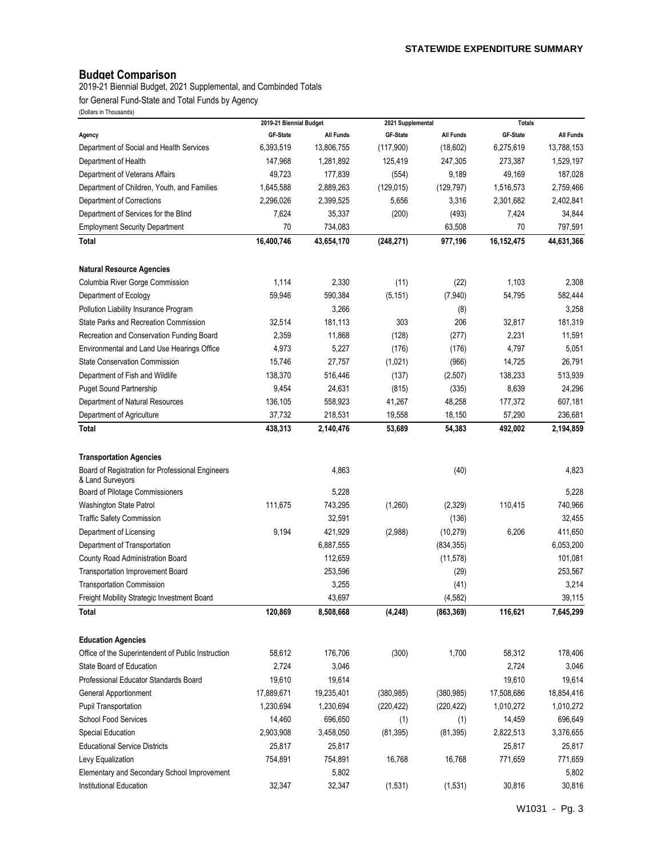# **Budget Comparison**

2019-21 Biennial Budget, 2021 Supplemental, and Combinded Totals

for General Fund-State and Total Funds by Agency

| (Dullais III THUUSAHUS)                                |                                     |                  |                               |                  |                           |                      |
|--------------------------------------------------------|-------------------------------------|------------------|-------------------------------|------------------|---------------------------|----------------------|
|                                                        | 2019-21 Biennial Budget<br>GF-State | <b>All Funds</b> | 2021 Supplemental<br>GF-State | <b>All Funds</b> | <b>Totals</b><br>GF-State | <b>All Funds</b>     |
| Agency<br>Department of Social and Health Services     | 6,393,519                           | 13,806,755       | (117,900)                     | (18,602)         | 6,275,619                 | 13,788,153           |
|                                                        | 147,968                             | 1,281,892        | 125,419                       | 247,305          | 273,387                   |                      |
| Department of Health<br>Department of Veterans Affairs | 49,723                              | 177,839          |                               | 9,189            | 49,169                    | 1,529,197<br>187,028 |
|                                                        |                                     |                  | (554)                         |                  |                           |                      |
| Department of Children, Youth, and Families            | 1,645,588                           | 2,889,263        | (129, 015)                    | (129, 797)       | 1,516,573                 | 2,759,466            |
| Department of Corrections                              | 2,296,026                           | 2,399,525        | 5,656                         | 3,316            | 2,301,682                 | 2,402,841            |
| Department of Services for the Blind                   | 7,624                               | 35,337           | (200)                         | (493)            | 7,424                     | 34,844               |
| <b>Employment Security Department</b>                  | 70                                  | 734,083          |                               | 63,508           | 70                        | 797,591              |
| Total                                                  | 16,400,746                          | 43,654,170       | (248, 271)                    | 977,196          | 16,152,475                | 44,631,366           |
| <b>Natural Resource Agencies</b>                       |                                     |                  |                               |                  |                           |                      |
| Columbia River Gorge Commission                        | 1,114                               | 2,330            | (11)                          | (22)             | 1,103                     | 2,308                |
| Department of Ecology                                  | 59,946                              | 590,384          | (5, 151)                      | (7,940)          | 54,795                    | 582,444              |
| Pollution Liability Insurance Program                  |                                     | 3,266            |                               | (8)              |                           | 3,258                |
| <b>State Parks and Recreation Commission</b>           | 32,514                              | 181,113          | 303                           | 206              | 32,817                    | 181,319              |
| Recreation and Conservation Funding Board              | 2,359                               | 11,868           | (128)                         | (277)            | 2,231                     | 11,591               |
| Environmental and Land Use Hearings Office             | 4,973                               | 5,227            | (176)                         | (176)            | 4,797                     | 5,051                |
| <b>State Conservation Commission</b>                   | 15,746                              | 27,757           | (1,021)                       | (966)            | 14,725                    | 26,791               |
| Department of Fish and Wildlife                        | 138,370                             | 516,446          | (137)                         | (2,507)          | 138,233                   | 513,939              |
| <b>Puget Sound Partnership</b>                         | 9,454                               | 24,631           | (815)                         | (335)            | 8,639                     | 24,296               |
| Department of Natural Resources                        | 136,105                             | 558,923          | 41,267                        | 48,258           | 177,372                   | 607,181              |
| Department of Agriculture                              | 37,732                              | 218,531          | 19,558                        | 18,150           | 57,290                    | 236,681              |
| <b>Total</b>                                           | 438,313                             | 2,140,476        | 53,689                        | 54,383           | 492,002                   | 2,194,859            |
|                                                        |                                     |                  |                               |                  |                           |                      |
| <b>Transportation Agencies</b>                         |                                     |                  |                               |                  |                           |                      |
| Board of Registration for Professional Engineers       |                                     | 4,863            |                               | (40)             |                           | 4,823                |
| & Land Surveyors                                       |                                     |                  |                               |                  |                           |                      |
| <b>Board of Pilotage Commissioners</b>                 |                                     | 5,228            |                               |                  |                           | 5,228                |
| Washington State Patrol                                | 111,675                             | 743,295          | (1,260)                       | (2, 329)         | 110,415                   | 740,966              |
| <b>Traffic Safety Commission</b>                       |                                     | 32,591           |                               | (136)            |                           | 32,455               |
| Department of Licensing                                | 9,194                               | 421,929          | (2,988)                       | (10, 279)        | 6,206                     | 411,650              |
| Department of Transportation                           |                                     | 6,887,555        |                               | (834, 355)       |                           | 6,053,200            |
| County Road Administration Board                       |                                     | 112,659          |                               | (11, 578)        |                           | 101,081              |
| Transportation Improvement Board                       |                                     | 253,596          |                               | (29)             |                           | 253,567              |
| <b>Transportation Commission</b>                       |                                     | 3,255            |                               | (41)             |                           | 3,214                |
| Freight Mobility Strategic Investment Board            |                                     | 43,697           |                               | (4, 582)         |                           | 39,115               |
| Total                                                  | 120,869                             | 8,508,668        | (4, 248)                      | (863, 369)       | 116,621                   | 7,645,299            |
| <b>Education Agencies</b>                              |                                     |                  |                               |                  |                           |                      |
| Office of the Superintendent of Public Instruction     | 58,612                              | 176,706          | (300)                         | 1,700            | 58,312                    | 178,406              |
| State Board of Education                               | 2,724                               | 3,046            |                               |                  | 2,724                     | 3,046                |
| Professional Educator Standards Board                  | 19,610                              | 19,614           |                               |                  | 19,610                    | 19,614               |
| <b>General Apportionment</b>                           | 17,889,671                          | 19,235,401       | (380, 985)                    | (380, 985)       | 17,508,686                | 18,854,416           |
| <b>Pupil Transportation</b>                            | 1,230,694                           | 1,230,694        | (220, 422)                    | (220, 422)       | 1,010,272                 | 1,010,272            |
| <b>School Food Services</b>                            | 14,460                              | 696,650          | (1)                           | (1)              | 14,459                    | 696,649              |
| Special Education                                      | 2,903,908                           | 3,458,050        | (81, 395)                     | (81, 395)        | 2,822,513                 | 3,376,655            |
| <b>Educational Service Districts</b>                   | 25,817                              | 25,817           |                               |                  | 25,817                    | 25,817               |
| Levy Equalization                                      | 754,891                             | 754,891          | 16,768                        | 16,768           | 771,659                   | 771,659              |
| Elementary and Secondary School Improvement            |                                     | 5,802            |                               |                  |                           | 5,802                |
| Institutional Education                                | 32,347                              | 32,347           | (1, 531)                      | (1, 531)         | 30,816                    | 30,816               |
|                                                        |                                     |                  |                               |                  |                           |                      |